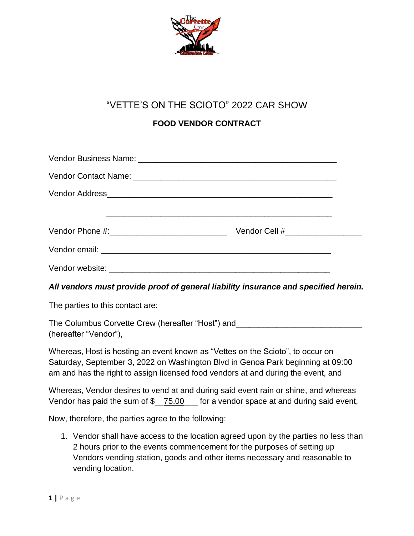

# "VETTE'S ON THE SCIOTO" 2022 CAR SHOW

# **FOOD VENDOR CONTRACT**

| Vendor Cell #____________________ |
|-----------------------------------|
|                                   |
|                                   |

# *All vendors must provide proof of general liability insurance and specified herein.*

The parties to this contact are:

The Columbus Corvette Crew (hereafter "Host") and (hereafter "Vendor"),

Whereas, Host is hosting an event known as "Vettes on the Scioto", to occur on Saturday, September 3, 2022 on Washington Blvd in Genoa Park beginning at 09:00 am and has the right to assign licensed food vendors at and during the event, and

Whereas, Vendor desires to vend at and during said event rain or shine, and whereas Vendor has paid the sum of \$\_75.00 for a vendor space at and during said event,

Now, therefore, the parties agree to the following:

1. Vendor shall have access to the location agreed upon by the parties no less than 2 hours prior to the events commencement for the purposes of setting up Vendors vending station, goods and other items necessary and reasonable to vending location.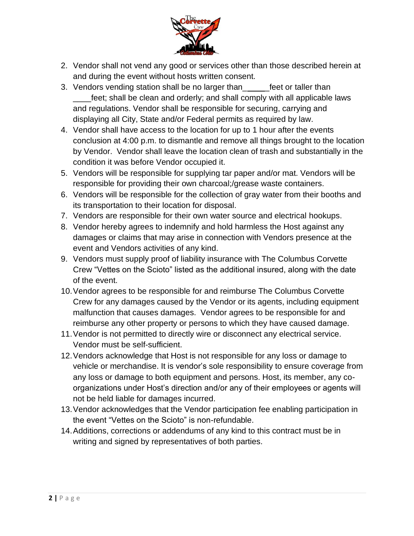

- 2. Vendor shall not vend any good or services other than those described herein at and during the event without hosts written consent.
- 3. Vendors vending station shall be no larger than\_ \_feet or taller than feet; shall be clean and orderly; and shall comply with all applicable laws and regulations. Vendor shall be responsible for securing, carrying and displaying all City, State and/or Federal permits as required by law.
- 4. Vendor shall have access to the location for up to 1 hour after the events conclusion at 4:00 p.m. to dismantle and remove all things brought to the location by Vendor. Vendor shall leave the location clean of trash and substantially in the condition it was before Vendor occupied it.
- 5. Vendors will be responsible for supplying tar paper and/or mat. Vendors will be responsible for providing their own charcoal;/grease waste containers.
- 6. Vendors will be responsible for the collection of gray water from their booths and its transportation to their location for disposal.
- 7. Vendors are responsible for their own water source and electrical hookups.
- 8. Vendor hereby agrees to indemnify and hold harmless the Host against any damages or claims that may arise in connection with Vendors presence at the event and Vendors activities of any kind.
- 9. Vendors must supply proof of liability insurance with The Columbus Corvette Crew "Vettes on the Scioto" listed as the additional insured, along with the date of the event.
- 10.Vendor agrees to be responsible for and reimburse The Columbus Corvette Crew for any damages caused by the Vendor or its agents, including equipment malfunction that causes damages. Vendor agrees to be responsible for and reimburse any other property or persons to which they have caused damage.
- 11.Vendor is not permitted to directly wire or disconnect any electrical service. Vendor must be self-sufficient.
- 12.Vendors acknowledge that Host is not responsible for any loss or damage to vehicle or merchandise. It is vendor's sole responsibility to ensure coverage from any loss or damage to both equipment and persons. Host, its member, any coorganizations under Host's direction and/or any of their employees or agents will not be held liable for damages incurred.
- 13.Vendor acknowledges that the Vendor participation fee enabling participation in the event "Vettes on the Scioto" is non-refundable.
- 14.Additions, corrections or addendums of any kind to this contract must be in writing and signed by representatives of both parties.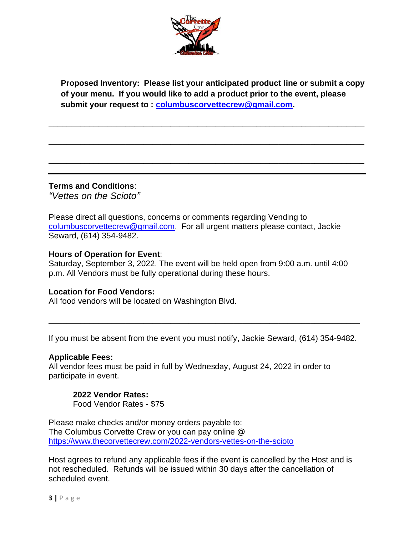

**Proposed Inventory: Please list your anticipated product line or submit a copy of your menu. If you would like to add a product prior to the event, please submit your request to : [columbuscorvettecrew@gmail.com.](mailto:columbuscorvettecrew@gmail.com)**

\_\_\_\_\_\_\_\_\_\_\_\_\_\_\_\_\_\_\_\_\_\_\_\_\_\_\_\_\_\_\_\_\_\_\_\_\_\_\_\_\_\_\_\_\_\_\_\_\_\_\_\_\_\_\_\_\_\_\_\_\_\_\_\_\_\_\_\_\_\_

\_\_\_\_\_\_\_\_\_\_\_\_\_\_\_\_\_\_\_\_\_\_\_\_\_\_\_\_\_\_\_\_\_\_\_\_\_\_\_\_\_\_\_\_\_\_\_\_\_\_\_\_\_\_\_\_\_\_\_\_\_\_\_\_\_\_\_\_\_\_

\_\_\_\_\_\_\_\_\_\_\_\_\_\_\_\_\_\_\_\_\_\_\_\_\_\_\_\_\_\_\_\_\_\_\_\_\_\_\_\_\_\_\_\_\_\_\_\_\_\_\_\_\_\_\_\_\_\_\_\_\_\_\_\_\_\_\_\_\_\_

**Terms and Conditions**:

*"Vettes on the Scioto"*

Please direct all questions, concerns or comments regarding Vending to [columbuscorvettecrew@gmail.com.](mailto:columbuscorvettecrew@gmail.com) For all urgent matters please contact, Jackie Seward, (614) 354-9482.

# **Hours of Operation for Event**:

Saturday, September 3, 2022. The event will be held open from 9:00 a.m. until 4:00 p.m. All Vendors must be fully operational during these hours.

# **Location for Food Vendors:**

All food vendors will be located on Washington Blvd.

If you must be absent from the event you must notify, Jackie Seward, (614) 354-9482.

\_\_\_\_\_\_\_\_\_\_\_\_\_\_\_\_\_\_\_\_\_\_\_\_\_\_\_\_\_\_\_\_\_\_\_\_\_\_\_\_\_\_\_\_\_\_\_\_\_\_\_\_\_\_\_\_\_\_\_\_\_\_\_\_\_\_\_\_\_

# **Applicable Fees:**

All vendor fees must be paid in full by Wednesday, August 24, 2022 in order to participate in event.

#### **2022 Vendor Rates:** Food Vendor Rates - \$75

Please make checks and/or money orders payable to: The Columbus Corvette Crew or you can pay online @ <https://www.thecorvettecrew.com/2022-vendors-vettes-on-the-scioto>

Host agrees to refund any applicable fees if the event is cancelled by the Host and is not rescheduled. Refunds will be issued within 30 days after the cancellation of scheduled event.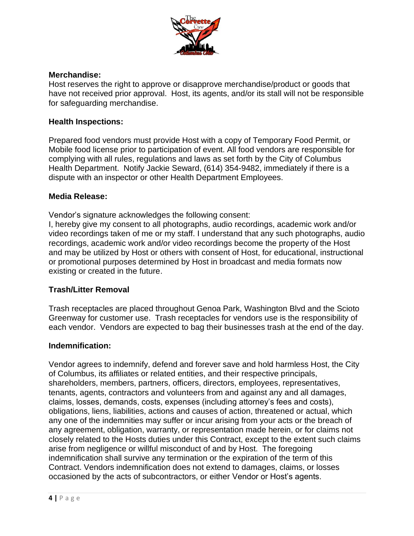

# **Merchandise:**

Host reserves the right to approve or disapprove merchandise/product or goods that have not received prior approval. Host, its agents, and/or its stall will not be responsible for safeguarding merchandise.

# **Health Inspections:**

Prepared food vendors must provide Host with a copy of Temporary Food Permit, or Mobile food license prior to participation of event. All food vendors are responsible for complying with all rules, regulations and laws as set forth by the City of Columbus Health Department. Notify Jackie Seward, (614) 354-9482, immediately if there is a dispute with an inspector or other Health Department Employees.

# **Media Release:**

Vendor's signature acknowledges the following consent:

I, hereby give my consent to all photographs, audio recordings, academic work and/or video recordings taken of me or my staff. I understand that any such photographs, audio recordings, academic work and/or video recordings become the property of the Host and may be utilized by Host or others with consent of Host, for educational, instructional or promotional purposes determined by Host in broadcast and media formats now existing or created in the future.

# **Trash/Litter Removal**

Trash receptacles are placed throughout Genoa Park, Washington Blvd and the Scioto Greenway for customer use. Trash receptacles for vendors use is the responsibility of each vendor. Vendors are expected to bag their businesses trash at the end of the day.

# **Indemnification:**

Vendor agrees to indemnify, defend and forever save and hold harmless Host, the City of Columbus, its affiliates or related entities, and their respective principals, shareholders, members, partners, officers, directors, employees, representatives, tenants, agents, contractors and volunteers from and against any and all damages, claims, losses, demands, costs, expenses (including attorney's fees and costs), obligations, liens, liabilities, actions and causes of action, threatened or actual, which any one of the indemnities may suffer or incur arising from your acts or the breach of any agreement, obligation, warranty, or representation made herein, or for claims not closely related to the Hosts duties under this Contract, except to the extent such claims arise from negligence or willful misconduct of and by Host. The foregoing indemnification shall survive any termination or the expiration of the term of this Contract. Vendors indemnification does not extend to damages, claims, or losses occasioned by the acts of subcontractors, or either Vendor or Host's agents.